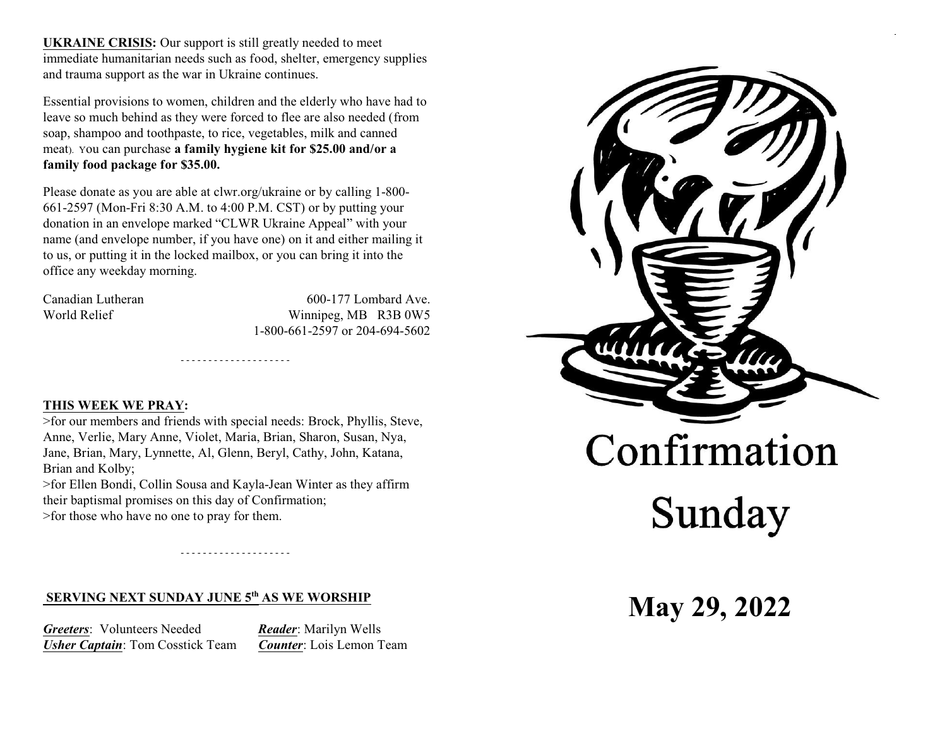**UKRAINE CRISIS:** Our support is still greatly needed to meet immediate humanitarian needs such as food, shelter, emergency supplies and trauma support as the war in Ukraine continues.

Essential provisions to women, children and the elderly who have had to leave so much behind as they were forced to flee are also needed (from soap, shampoo and toothpaste, to rice, vegetables, milk and canned meat). You can purchase **a family hygiene kit for \$25.00 and/or a family food package for \$35.00.**

Please donate as you are able at clwr.org/ukraine or by calling 1-800- 661-2597 (Mon-Fri 8:30 A.M. to 4:00 P.M. CST) or by putting your donation in an envelope marked "CLWR Ukraine Appeal" with your name (and envelope number, if you have one) on it and either mailing it to us, or putting it in the locked mailbox, or you can bring it into the office any weekday morning.

Canadian Lutheran 600-177 Lombard Ave. World Relief Winnipeg, MB R3B 0W5 1-800-661-2597 or 204-694-5602

### **THIS WEEK WE PRAY:**

>for our members and friends with special needs: Brock, Phyllis, Steve, Anne, Verlie, Mary Anne, Violet, Maria, Brian, Sharon, Susan, Nya, Jane, Brian, Mary, Lynnette, Al, Glenn, Beryl, Cathy, John, Katana, Brian and Kolby;

- - - - - - - - - - - - - - - - - - - -

>for Ellen Bondi, Collin Sousa and Kayla-Jean Winter as they affirm their baptismal promises on this day of Confirmation; >for those who have no one to pray for them.

- - - - - - - - - - - - - - - - - - - -

# **SERVING NEXT SUNDAY JUNE 5<sup>th</sup> AS WE WORSHIP**

*Greeters*: Volunteers Needed *Reader*: Marilyn Wells *Usher Captain*: Tom Cosstick Team *Counter*: Lois Lemon Team

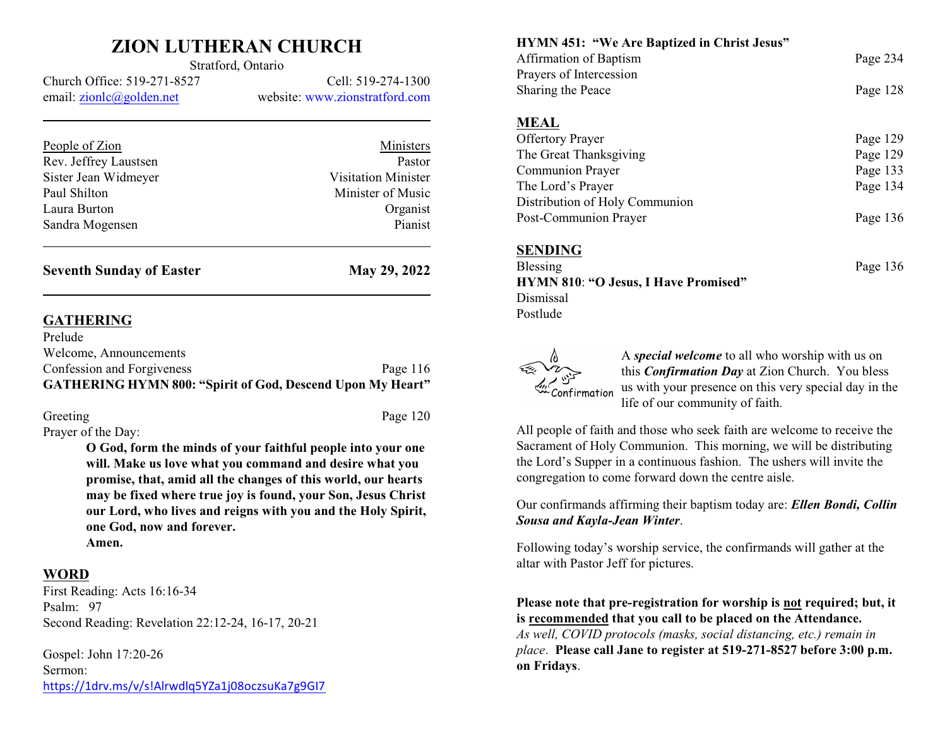## **ZION LUTHERAN CHURCH** Stratford, Ontario

Church Office: 519-271-8527 Cell: 519-274-1300 email: [zionlc@golden.net](mailto:zionlc@golden.net) website: www.zionstratford.com

| People of Zion        | Ministers                  |
|-----------------------|----------------------------|
| Rev. Jeffrey Laustsen | Pastor                     |
| Sister Jean Widmeyer  | <b>Visitation Minister</b> |
| Paul Shilton          | Minister of Music          |
| Laura Burton          | Organist                   |
| Sandra Mogensen       | Pianist                    |
|                       |                            |

**Seventh Sunday of Easter May 29, 2022** 

### **GATHERING**

| <b>GATHERING HYMN 800: "Spirit of God, Descend Upon My Heart"</b> |            |
|-------------------------------------------------------------------|------------|
| Confession and Forgiveness                                        | Page $116$ |
| Welcome, Announcements                                            |            |
| Prelude                                                           |            |

| Greeting                                    | Page 120 |
|---------------------------------------------|----------|
| $D_{\text{ravity}}$ of the $D_{\text{out}}$ |          |

Prayer of the Day:

**O God, form the minds of your faithful people into your one will. Make us love what you command and desire what you promise, that, amid all the changes of this world, our hearts may be fixed where true joy is found, your Son, Jesus Christ our Lord, who lives and reigns with you and the Holy Spirit, one God, now and forever.**

**Amen.**

### **WORD**

First Reading: Acts 16:16-34 Psalm: 97 Second Reading: Revelation 22:12-24, 16-17, 20-21

Gospel: John 17:20-26 Sermon: <https://1drv.ms/v/s!Alrwdlq5YZa1j08oczsuKa7g9GI7> **HYMN 451: "We Are Baptized in Christ Jesus"**

| Affirmation of Baptism         | Page 234 |
|--------------------------------|----------|
| Prayers of Intercession        |          |
| Sharing the Peace              | Page 128 |
|                                |          |
| <b>MEAL</b>                    |          |
| <b>Offertory Prayer</b>        | Page 129 |
| The Great Thanksgiving         | Page 129 |
| Communion Prayer               | Page 133 |
| The Lord's Prayer              | Page 134 |
| Distribution of Holy Communion |          |
| Post-Communion Prayer          | Page 136 |
| <b>CENDING</b>                 |          |

**SENDING**

Blessing Page 136 **HYMN 810**: **"O Jesus, I Have Promised"** Dismissal Postlude

Confirmation

A *special welcome* to all who worship with us on this *Confirmation Day* at Zion Church. You bless us with your presence on this very special day in the life of our community of faith.

All people of faith and those who seek faith are welcome to receive the Sacrament of Holy Communion. This morning, we will be distributing the Lord's Supper in a continuous fashion. The ushers will invite the congregation to come forward down the centre aisle.

Our confirmands affirming their baptism today are: *Ellen Bondi, Collin Sousa and Kayla-Jean Winter*.

Following today's worship service, the confirmands will gather at the altar with Pastor Jeff for pictures.

**Please note that pre-registration for worship is not required; but, it is recommended that you call to be placed on the Attendance.**

*As well, COVID protocols (masks, social distancing, etc.) remain in place*. **Please call Jane to register at 519-271-8527 before 3:00 p.m. on Fridays**.